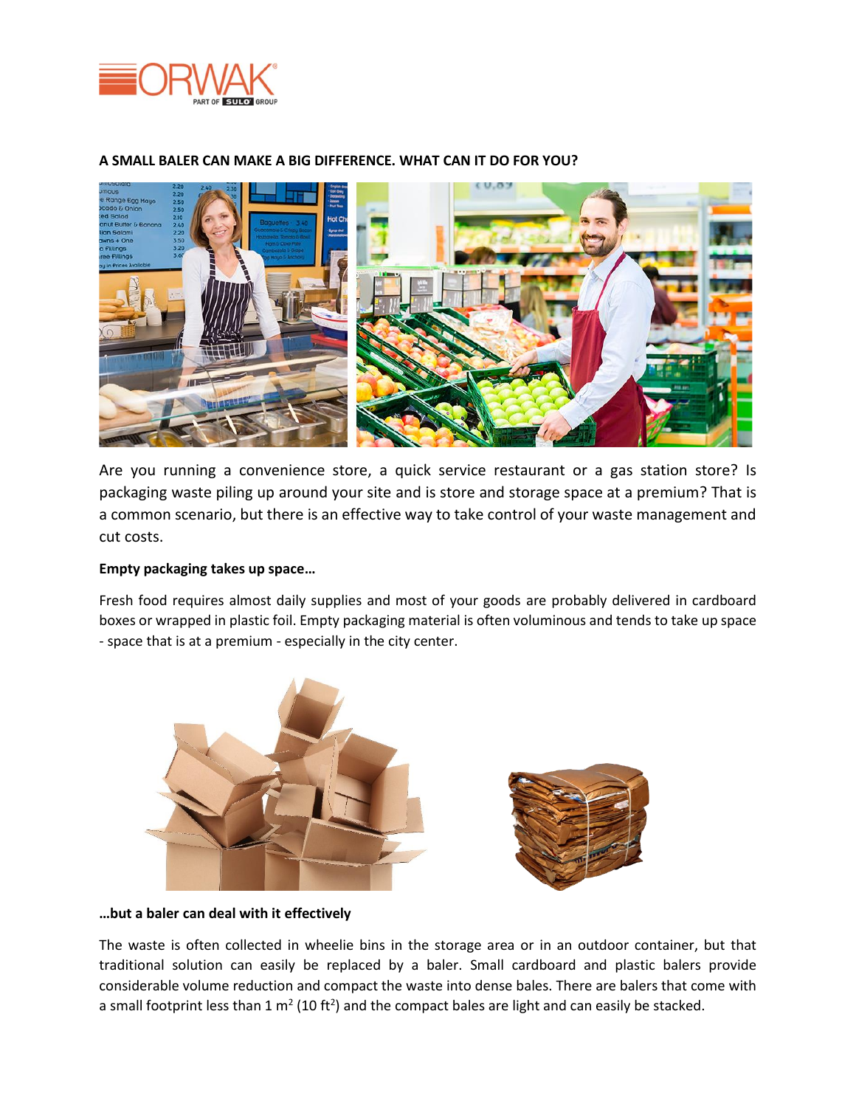



## **A SMALL BALER CAN MAKE A BIG DIFFERENCE. WHAT CAN IT DO FOR YOU?**

Are you running a convenience store, a quick service restaurant or a gas station store? Is packaging waste piling up around your site and is store and storage space at a premium? That is a common scenario, but there is an effective way to take control of your waste management and cut costs.

## **Empty packaging takes up space…**

Fresh food requires almost daily supplies and most of your goods are probably delivered in cardboard boxes or wrapped in plastic foil. Empty packaging material is often voluminous and tends to take up space - space that is at a premium - especially in the city center.



**…but a baler can deal with it effectively**

The waste is often collected in wheelie bins in the storage area or in an outdoor container, but that traditional solution can easily be replaced by a baler. Small cardboard and plastic balers provide considerable volume reduction and compact the waste into dense bales. There are balers that come with a small footprint less than 1 m<sup>2</sup> (10 ft<sup>2</sup>) and the compact bales are light and can easily be stacked.